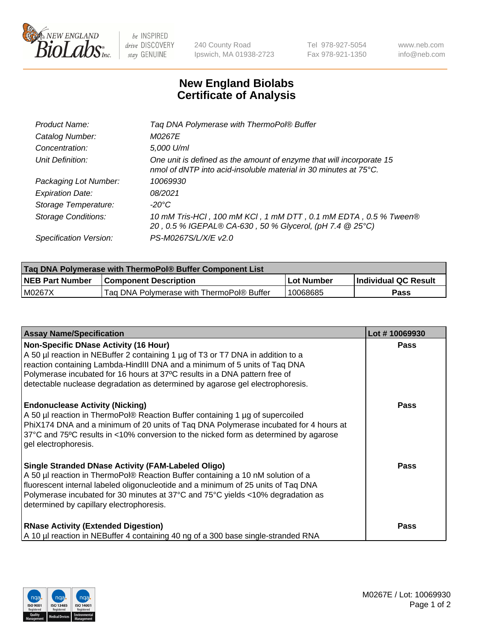

 $be$  INSPIRED drive DISCOVERY stay GENUINE

240 County Road Ipswich, MA 01938-2723 Tel 978-927-5054 Fax 978-921-1350 www.neb.com info@neb.com

## **New England Biolabs Certificate of Analysis**

| Product Name:              | Tag DNA Polymerase with ThermoPol® Buffer                                                                                                |
|----------------------------|------------------------------------------------------------------------------------------------------------------------------------------|
| Catalog Number:            | <i>M0267E</i>                                                                                                                            |
| Concentration:             | 5,000 U/ml                                                                                                                               |
| Unit Definition:           | One unit is defined as the amount of enzyme that will incorporate 15<br>nmol of dNTP into acid-insoluble material in 30 minutes at 75°C. |
| Packaging Lot Number:      | 10069930                                                                                                                                 |
| <b>Expiration Date:</b>    | 08/2021                                                                                                                                  |
| Storage Temperature:       | $-20^{\circ}$ C                                                                                                                          |
| <b>Storage Conditions:</b> | 10 mM Tris-HCl, 100 mM KCl, 1 mM DTT, 0.1 mM EDTA, 0.5 % Tween®<br>20, 0.5 % IGEPAL® CA-630, 50 % Glycerol, (pH 7.4 @ 25°C)              |
| Specification Version:     | PS-M0267S/L/X/E v2.0                                                                                                                     |

| Taq DNA Polymerase with ThermoPol® Buffer Component List |                                           |            |                      |  |
|----------------------------------------------------------|-------------------------------------------|------------|----------------------|--|
| <b>NEB Part Number</b>                                   | <b>Component Description</b>              | Lot Number | Individual QC Result |  |
| M0267X                                                   | Tag DNA Polymerase with ThermoPol® Buffer | 10068685   | Pass                 |  |

| <b>Assay Name/Specification</b>                                                                                                                                                                                                                                                                                                                                              | Lot #10069930 |
|------------------------------------------------------------------------------------------------------------------------------------------------------------------------------------------------------------------------------------------------------------------------------------------------------------------------------------------------------------------------------|---------------|
| <b>Non-Specific DNase Activity (16 Hour)</b><br>A 50 µl reaction in NEBuffer 2 containing 1 µg of T3 or T7 DNA in addition to a<br>reaction containing Lambda-HindIII DNA and a minimum of 5 units of Taq DNA<br>Polymerase incubated for 16 hours at 37°C results in a DNA pattern free of<br>detectable nuclease degradation as determined by agarose gel electrophoresis. | Pass          |
| <b>Endonuclease Activity (Nicking)</b><br>A 50 µl reaction in ThermoPol® Reaction Buffer containing 1 µg of supercoiled<br>PhiX174 DNA and a minimum of 20 units of Tag DNA Polymerase incubated for 4 hours at<br>37°C and 75°C results in <10% conversion to the nicked form as determined by agarose<br>gel electrophoresis.                                              | <b>Pass</b>   |
| <b>Single Stranded DNase Activity (FAM-Labeled Oligo)</b><br>A 50 µl reaction in ThermoPol® Reaction Buffer containing a 10 nM solution of a<br>fluorescent internal labeled oligonucleotide and a minimum of 25 units of Taq DNA<br>Polymerase incubated for 30 minutes at 37°C and 75°C yields <10% degradation as<br>determined by capillary electrophoresis.             | Pass          |
| <b>RNase Activity (Extended Digestion)</b><br>A 10 µl reaction in NEBuffer 4 containing 40 ng of a 300 base single-stranded RNA                                                                                                                                                                                                                                              | Pass          |